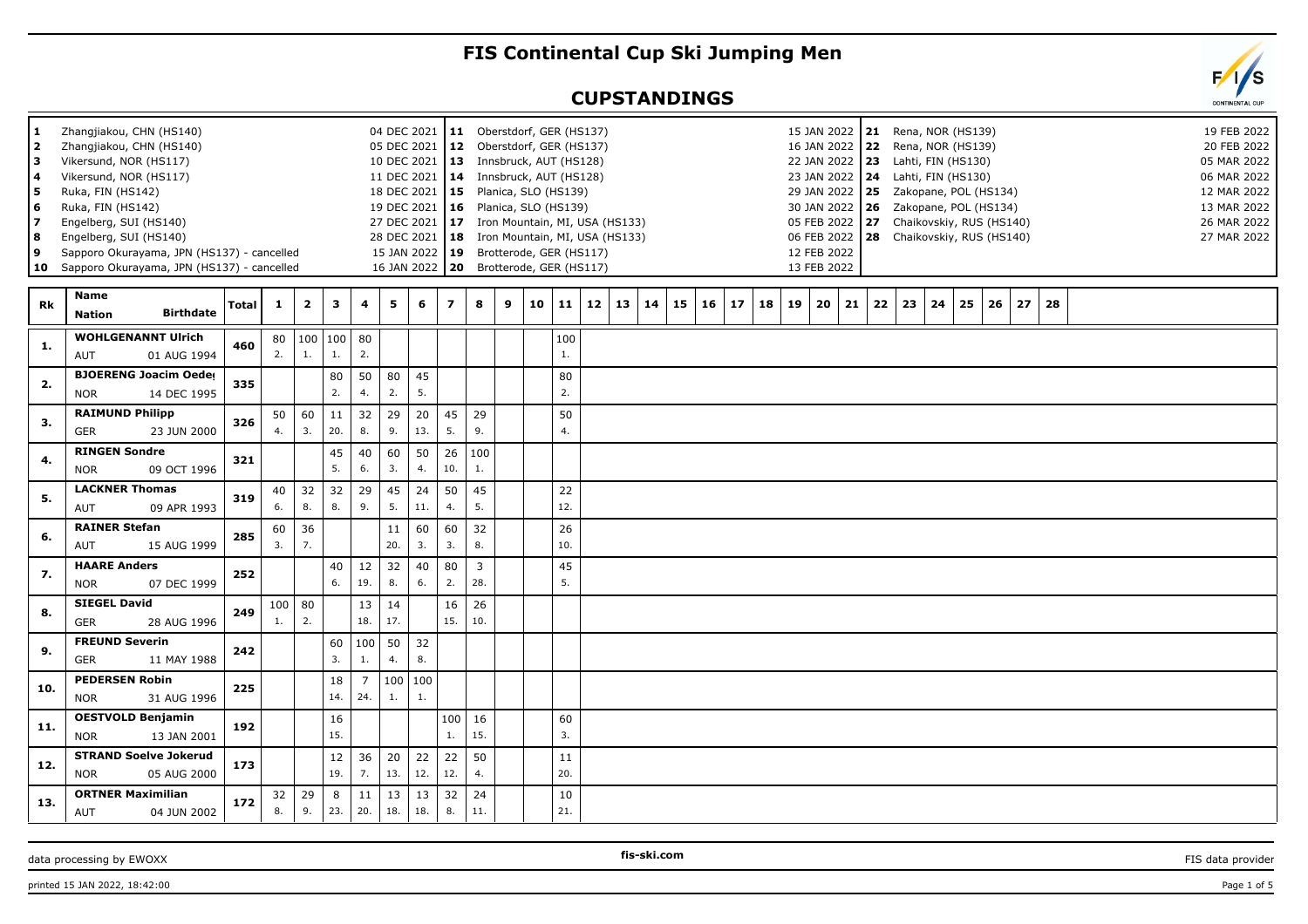## **FIS Continental Cup Ski Jumping Men**

## **CUPSTANDINGS**

| 1.<br>2<br>з<br>4<br>5<br>6<br>7<br>8<br>9 | Zhangjiakou, CHN (HS140)<br>Zhangjiakou, CHN (HS140)<br>Vikersund, NOR (HS117)<br>Vikersund, NOR (HS117)<br>Ruka, FIN (HS142)<br>Ruka, FIN (HS142)<br>Engelberg, SUI (HS140)<br>Engelberg, SUI (HS140)<br>Sapporo Okurayama, JPN (HS137) - cancelled<br>10 Sapporo Okurayama, JPN (HS137) - cancelled |              |                       |                         |               |                       |           | 04 DEC 2021   11 Oberstdorf, GER (HS137)<br>05 DEC 2021<br>10 DEC 2021   13 Innsbruck, AUT (HS128)<br>11 DEC 2021<br>18 DEC 2021<br>19 DEC 2021   16  Planica, SLO (HS139)<br>27 DEC 2021<br>28 DEC 2021   18<br>15 JAN 2022 19<br>16 JAN 2022 20 | 15             | 12 Oberstdorf, GER (HS137)<br>14 Innsbruck, AUT (HS128) | Planica, SLO (HS139) |    |           | 17 Iron Mountain, MI, USA (HS133)<br>Iron Mountain, MI, USA (HS133)<br>Brotterode, GER (HS117)<br>Brotterode, GER (HS117) |    |    |    |    |    |    | 15 JAN 2022 21<br>16 JAN 2022 22<br>22 JAN 2022 23<br>23 JAN 2022 24<br>29 JAN 2022 25<br>30 JAN 2022   26<br>05 FEB 2022 27<br>06 FEB 2022   28 Chaikovskiy, RUS (HS140)<br>12 FEB 2022<br>13 FEB 2022 |    |    |    | Rena, NOR (HS139)<br>Rena, NOR (HS139)<br>Lahti, FIN (HS130)<br>Lahti, FIN (HS130) |    | Zakopane, POL (HS134)<br>Zakopane, POL (HS134)<br>Chaikovskiy, RUS (HS140) |    |    |  |  |  | 19 FEB 2022<br>20 FEB 2022<br>05 MAR 2022<br>06 MAR 2022<br>12 MAR 2022<br>13 MAR 2022<br>26 MAR 2022<br>27 MAR 2022 |
|--------------------------------------------|-------------------------------------------------------------------------------------------------------------------------------------------------------------------------------------------------------------------------------------------------------------------------------------------------------|--------------|-----------------------|-------------------------|---------------|-----------------------|-----------|---------------------------------------------------------------------------------------------------------------------------------------------------------------------------------------------------------------------------------------------------|----------------|---------------------------------------------------------|----------------------|----|-----------|---------------------------------------------------------------------------------------------------------------------------|----|----|----|----|----|----|---------------------------------------------------------------------------------------------------------------------------------------------------------------------------------------------------------|----|----|----|------------------------------------------------------------------------------------|----|----------------------------------------------------------------------------|----|----|--|--|--|----------------------------------------------------------------------------------------------------------------------|
| Rk                                         | Name<br><b>Birthdate</b><br><b>Nation</b>                                                                                                                                                                                                                                                             | <b>Total</b> | $\mathbf{1}$          | $\overline{\mathbf{2}}$ | 3             | 4                     | 5         | 6                                                                                                                                                                                                                                                 | $\overline{z}$ | 8                                                       | 9                    | 10 | 11        | 12<br>13                                                                                                                  | 14 | 15 | 16 | 17 | 18 | 19 | 20                                                                                                                                                                                                      | 21 | 22 | 23 | 24                                                                                 | 25 | 26                                                                         | 27 | 28 |  |  |  |                                                                                                                      |
| 1.                                         | <b>WOHLGENANNT Ulrich</b><br>AUT<br>01 AUG 1994                                                                                                                                                                                                                                                       | 460          | 80<br>2.              | $\mathbf{1}$ .          | 100 100<br>1. | 80<br>2.              |           |                                                                                                                                                                                                                                                   |                |                                                         |                      |    | 100<br>1. |                                                                                                                           |    |    |    |    |    |    |                                                                                                                                                                                                         |    |    |    |                                                                                    |    |                                                                            |    |    |  |  |  |                                                                                                                      |
| 2.                                         | <b>BJOERENG Joacim Oeder</b><br><b>NOR</b><br>14 DEC 1995                                                                                                                                                                                                                                             | 335          |                       |                         | 80<br>2.      | 50<br>4.              | 80<br>2.  | 45<br>5.                                                                                                                                                                                                                                          |                |                                                         |                      |    | 80<br>2.  |                                                                                                                           |    |    |    |    |    |    |                                                                                                                                                                                                         |    |    |    |                                                                                    |    |                                                                            |    |    |  |  |  |                                                                                                                      |
| 3.                                         | <b>RAIMUND Philipp</b><br>GER<br>23 JUN 2000                                                                                                                                                                                                                                                          | 326          | 50<br>4.              | 60<br>3.                | 11<br>20.     | 32<br>8.              | 29<br>9.  | 20<br>13.                                                                                                                                                                                                                                         | 45<br>5.       | 29<br>9.                                                |                      |    | 50<br>4.  |                                                                                                                           |    |    |    |    |    |    |                                                                                                                                                                                                         |    |    |    |                                                                                    |    |                                                                            |    |    |  |  |  |                                                                                                                      |
| 4.                                         | <b>RINGEN Sondre</b><br><b>NOR</b><br>09 OCT 1996                                                                                                                                                                                                                                                     | 321          |                       |                         | 45<br>5.      | 40<br>6.              | 60<br>3.  | 50<br>4.                                                                                                                                                                                                                                          | 26<br>10.      | 100<br>1.                                               |                      |    |           |                                                                                                                           |    |    |    |    |    |    |                                                                                                                                                                                                         |    |    |    |                                                                                    |    |                                                                            |    |    |  |  |  |                                                                                                                      |
| 5.                                         | <b>LACKNER Thomas</b><br><b>AUT</b><br>09 APR 1993                                                                                                                                                                                                                                                    | 319          | 40<br>6.              | 32<br>8.                | 32<br>8.      | 29<br>9.              | 45<br>5.  | 24<br>11.                                                                                                                                                                                                                                         | 50<br>4.       | 45<br>5.                                                |                      |    | 22<br>12. |                                                                                                                           |    |    |    |    |    |    |                                                                                                                                                                                                         |    |    |    |                                                                                    |    |                                                                            |    |    |  |  |  |                                                                                                                      |
| 6.                                         | <b>RAINER Stefan</b><br>AUT<br>15 AUG 1999                                                                                                                                                                                                                                                            | 285          | 60<br>3.              | 36<br>7.                |               |                       | 11<br>20. | 60<br>3.                                                                                                                                                                                                                                          | 60<br>3.       | 32<br>8.                                                |                      |    | 26<br>10. |                                                                                                                           |    |    |    |    |    |    |                                                                                                                                                                                                         |    |    |    |                                                                                    |    |                                                                            |    |    |  |  |  |                                                                                                                      |
| 7.                                         | <b>HAARE Anders</b><br>07 DEC 1999<br><b>NOR</b>                                                                                                                                                                                                                                                      | 252          |                       |                         | 40<br>6.      | 12<br>19.             | 32<br>8.  | 40<br>6.                                                                                                                                                                                                                                          | 80<br>2.       | $\mathbf{3}$<br>28.                                     |                      |    | 45<br>5.  |                                                                                                                           |    |    |    |    |    |    |                                                                                                                                                                                                         |    |    |    |                                                                                    |    |                                                                            |    |    |  |  |  |                                                                                                                      |
| 8.                                         | <b>SIEGEL David</b><br><b>GER</b><br>28 AUG 1996                                                                                                                                                                                                                                                      | 249          | 100<br>$\mathbf{1}$ . | 80<br>2.                |               | 13<br>18.             | 14<br>17. |                                                                                                                                                                                                                                                   | 16<br>15.      | 26<br>10.                                               |                      |    |           |                                                                                                                           |    |    |    |    |    |    |                                                                                                                                                                                                         |    |    |    |                                                                                    |    |                                                                            |    |    |  |  |  |                                                                                                                      |
| 9.                                         | <b>FREUND Severin</b><br><b>GER</b><br>11 MAY 1988                                                                                                                                                                                                                                                    | 242          |                       |                         | 60<br>3.      | 100<br>1.             | 50<br>4.  | 32<br>8.                                                                                                                                                                                                                                          |                |                                                         |                      |    |           |                                                                                                                           |    |    |    |    |    |    |                                                                                                                                                                                                         |    |    |    |                                                                                    |    |                                                                            |    |    |  |  |  |                                                                                                                      |
| 10.                                        | <b>PEDERSEN Robin</b><br><b>NOR</b><br>31 AUG 1996                                                                                                                                                                                                                                                    | 225          |                       |                         | 18<br>14.     | $\overline{7}$<br>24. | 100<br>1. | 100<br>1.                                                                                                                                                                                                                                         |                |                                                         |                      |    |           |                                                                                                                           |    |    |    |    |    |    |                                                                                                                                                                                                         |    |    |    |                                                                                    |    |                                                                            |    |    |  |  |  |                                                                                                                      |
| 11.                                        | <b>OESTVOLD Benjamin</b><br><b>NOR</b><br>13 JAN 2001                                                                                                                                                                                                                                                 | 192          |                       |                         | 16<br>15.     |                       |           |                                                                                                                                                                                                                                                   | 100<br>1.      | 16<br>15.                                               |                      |    | 60<br>3.  |                                                                                                                           |    |    |    |    |    |    |                                                                                                                                                                                                         |    |    |    |                                                                                    |    |                                                                            |    |    |  |  |  |                                                                                                                      |
| 12.                                        | <b>STRAND Soelve Jokerud</b><br><b>NOR</b><br>05 AUG 2000                                                                                                                                                                                                                                             | 173          |                       |                         | 12<br>19.     | 36<br>7.              | 20<br>13. | 22<br>12.                                                                                                                                                                                                                                         | 22<br>12.      | 50<br>4.                                                |                      |    | 11<br>20. |                                                                                                                           |    |    |    |    |    |    |                                                                                                                                                                                                         |    |    |    |                                                                                    |    |                                                                            |    |    |  |  |  |                                                                                                                      |
| 13.                                        | <b>ORTNER Maximilian</b><br>AUT<br>04 JUN 2002                                                                                                                                                                                                                                                        | 172          | 32<br>8.              | 29<br>9.                | 8<br>23.      | 11<br>20.             | 13<br>18. | 13<br>18.                                                                                                                                                                                                                                         | 32<br>8.       | 24<br>11.                                               |                      |    | 10<br>21. |                                                                                                                           |    |    |    |    |    |    |                                                                                                                                                                                                         |    |    |    |                                                                                    |    |                                                                            |    |    |  |  |  |                                                                                                                      |
|                                            |                                                                                                                                                                                                                                                                                                       |              |                       |                         |               |                       |           |                                                                                                                                                                                                                                                   |                |                                                         |                      |    |           |                                                                                                                           |    |    |    |    |    |    |                                                                                                                                                                                                         |    |    |    |                                                                                    |    |                                                                            |    |    |  |  |  |                                                                                                                      |

data processing by EWOXX **FIS-SKI.com FIS-SKI.com FIS** data provider **FIS** data provider

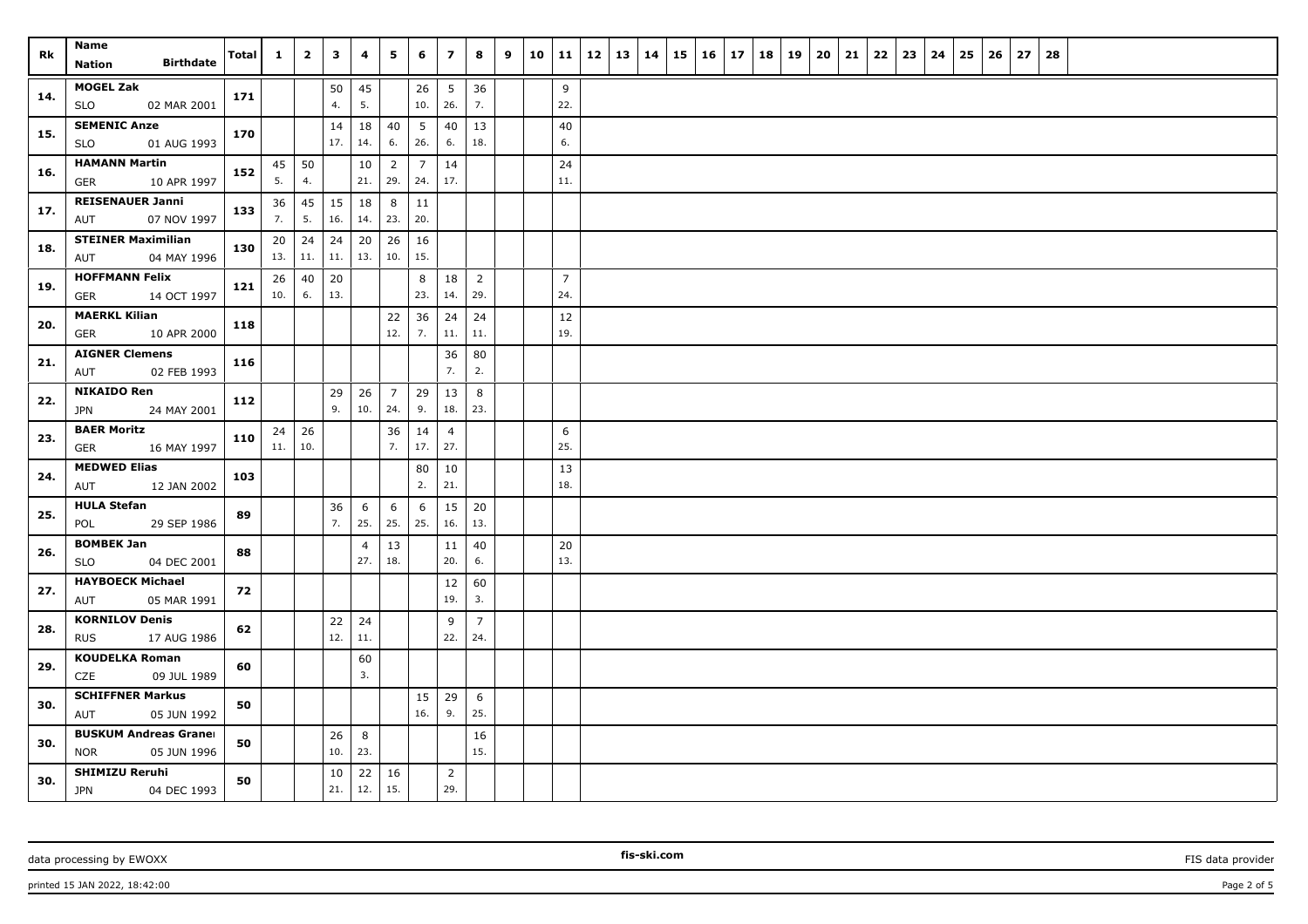| Rk  | Name                                                      | Total | $\mathbf{1}$ | $\overline{2}$ | $\mathbf{3}$ | 4                     | 5                     | 6         | $\overline{z}$        | 8                     | 9 |                       | $10$   11   12   13   14 |  | 15 | $16 \mid 17$ | 18 19 | 20 | 21 | 22 | 23 | 24 | 25 | 26 | 27 | 28 |  |  |  |
|-----|-----------------------------------------------------------|-------|--------------|----------------|--------------|-----------------------|-----------------------|-----------|-----------------------|-----------------------|---|-----------------------|--------------------------|--|----|--------------|-------|----|----|----|----|----|----|----|----|----|--|--|--|
|     | <b>Birthdate</b><br>Nation                                |       |              |                |              |                       |                       |           |                       |                       |   |                       |                          |  |    |              |       |    |    |    |    |    |    |    |    |    |  |  |  |
| 14. | <b>MOGEL Zak</b><br><b>SLO</b><br>02 MAR 2001             | 171   |              |                | 50<br>4.     | 45<br>5.              |                       | 26<br>10. | 5<br>26.              | 36<br>7.              |   | 9<br>22.              |                          |  |    |              |       |    |    |    |    |    |    |    |    |    |  |  |  |
| 15. | <b>SEMENIC Anze</b><br><b>SLO</b><br>01 AUG 1993          | 170   |              |                | 14<br>17.    | 18<br>14.             | 40<br>6.              | 5<br>26.  | 40<br>6.              | 13<br>18.             |   | 40<br>6.              |                          |  |    |              |       |    |    |    |    |    |    |    |    |    |  |  |  |
| 16. | <b>HAMANN Martin</b>                                      | 152   | 45           | 50             |              | 10                    | $\overline{2}$        | 7         | 14<br>17.             |                       |   | 24                    |                          |  |    |              |       |    |    |    |    |    |    |    |    |    |  |  |  |
|     | GER<br>10 APR 1997<br><b>REISENAUER Janni</b>             |       | 5.           | 4.             |              | 21.                   | 29.                   | 24.       |                       |                       |   | 11.                   |                          |  |    |              |       |    |    |    |    |    |    |    |    |    |  |  |  |
| 17. | AUT<br>07 NOV 1997                                        | 133   | 36<br>7.     | 45<br>5.       | 15<br>16.    | 18<br>14.             | 8<br>23.              | 11<br>20. |                       |                       |   |                       |                          |  |    |              |       |    |    |    |    |    |    |    |    |    |  |  |  |
| 18. | <b>STEINER Maximilian</b><br>AUT<br>04 MAY 1996           | 130   | 20<br>13.    | 24<br>11.      | 24<br>11.    | 20<br>13.             | 26<br>10.             | 16<br>15. |                       |                       |   |                       |                          |  |    |              |       |    |    |    |    |    |    |    |    |    |  |  |  |
| 19. | <b>HOFFMANN Felix</b><br>GER<br>14 OCT 1997               | 121   | 26<br>10.    | 40<br>6.       | 20<br>13.    |                       |                       | 8<br>23.  | 18<br>14.             | 2<br>29.              |   | $\overline{7}$<br>24. |                          |  |    |              |       |    |    |    |    |    |    |    |    |    |  |  |  |
| 20. | <b>MAERKL Kilian</b><br><b>GER</b><br>10 APR 2000         | 118   |              |                |              |                       | 22<br>12.             | 36<br>7.  | 24<br>11.             | 24<br>11.             |   | 12<br>19.             |                          |  |    |              |       |    |    |    |    |    |    |    |    |    |  |  |  |
|     | <b>AIGNER Clemens</b>                                     |       |              |                |              |                       |                       |           | 36                    | 80                    |   |                       |                          |  |    |              |       |    |    |    |    |    |    |    |    |    |  |  |  |
| 21. | 02 FEB 1993<br>AUT                                        | 116   |              |                |              |                       |                       |           | 7.                    | 2.                    |   |                       |                          |  |    |              |       |    |    |    |    |    |    |    |    |    |  |  |  |
| 22. | <b>NIKAIDO Ren</b><br><b>JPN</b><br>24 MAY 2001           | 112   |              |                | 29<br>9.     | 26<br>10.             | $\overline{7}$<br>24. | 29<br>9.  | 13<br>18.             | 8<br>23.              |   |                       |                          |  |    |              |       |    |    |    |    |    |    |    |    |    |  |  |  |
|     | <b>BAER Moritz</b>                                        |       | 24           | 26             |              |                       | 36                    | 14        | $\overline{4}$        |                       |   | 6                     |                          |  |    |              |       |    |    |    |    |    |    |    |    |    |  |  |  |
| 23. | GER<br>16 MAY 1997                                        | 110   | 11.          | 10.            |              |                       | 7.                    | 17.       | 27.                   |                       |   | 25.                   |                          |  |    |              |       |    |    |    |    |    |    |    |    |    |  |  |  |
| 24. | <b>MEDWED Elias</b><br>AUT<br>12 JAN 2002                 | 103   |              |                |              |                       |                       | 80<br>2.  | 10<br>21.             |                       |   | 13<br>18.             |                          |  |    |              |       |    |    |    |    |    |    |    |    |    |  |  |  |
| 25. | <b>HULA Stefan</b><br>29 SEP 1986<br>POL                  | 89    |              |                | 36<br>7.     | 6<br>25.              | 6<br>25.              | 6<br>25.  | 15<br>16.             | 20<br>13.             |   |                       |                          |  |    |              |       |    |    |    |    |    |    |    |    |    |  |  |  |
| 26. | <b>BOMBEK Jan</b><br>04 DEC 2001<br>SLO                   | 88    |              |                |              | $\overline{4}$<br>27. | 13<br>18.             |           | 11<br>20.             | 40<br>6.              |   | 20<br>13.             |                          |  |    |              |       |    |    |    |    |    |    |    |    |    |  |  |  |
| 27. | <b>HAYBOECK Michael</b><br>05 MAR 1991<br>AUT             | 72    |              |                |              |                       |                       |           | 12<br>19.             | 60<br>3.              |   |                       |                          |  |    |              |       |    |    |    |    |    |    |    |    |    |  |  |  |
| 28. | <b>KORNILOV Denis</b><br><b>RUS</b><br>17 AUG 1986        | 62    |              |                | 22<br>12.    | 24<br>11.             |                       |           | 9<br>22.              | $\overline{7}$<br>24. |   |                       |                          |  |    |              |       |    |    |    |    |    |    |    |    |    |  |  |  |
| 29. | <b>KOUDELKA Roman</b>                                     | 60    |              |                |              | 60                    |                       |           |                       |                       |   |                       |                          |  |    |              |       |    |    |    |    |    |    |    |    |    |  |  |  |
|     | <b>CZE</b><br>09 JUL 1989<br><b>SCHIFFNER Markus</b>      |       |              |                |              | 3.                    |                       |           |                       |                       |   |                       |                          |  |    |              |       |    |    |    |    |    |    |    |    |    |  |  |  |
| 30. | AUT<br>05 JUN 1992                                        | 50    |              |                |              |                       |                       | 15<br>16. | 29<br>9.              | 6<br>25.              |   |                       |                          |  |    |              |       |    |    |    |    |    |    |    |    |    |  |  |  |
| 30. | <b>BUSKUM Andreas Graner</b><br><b>NOR</b><br>05 JUN 1996 | 50    |              |                | 26<br>10.    | 8<br>23.              |                       |           |                       | 16<br>15.             |   |                       |                          |  |    |              |       |    |    |    |    |    |    |    |    |    |  |  |  |
| 30. | <b>SHIMIZU Reruhi</b><br><b>JPN</b><br>04 DEC 1993        | 50    |              |                | 10<br>21.    | 22<br>12.             | 16<br>15.             |           | $\overline{2}$<br>29. |                       |   |                       |                          |  |    |              |       |    |    |    |    |    |    |    |    |    |  |  |  |

printed 15 JAN 2022, 18:42:00 Page 2 of 5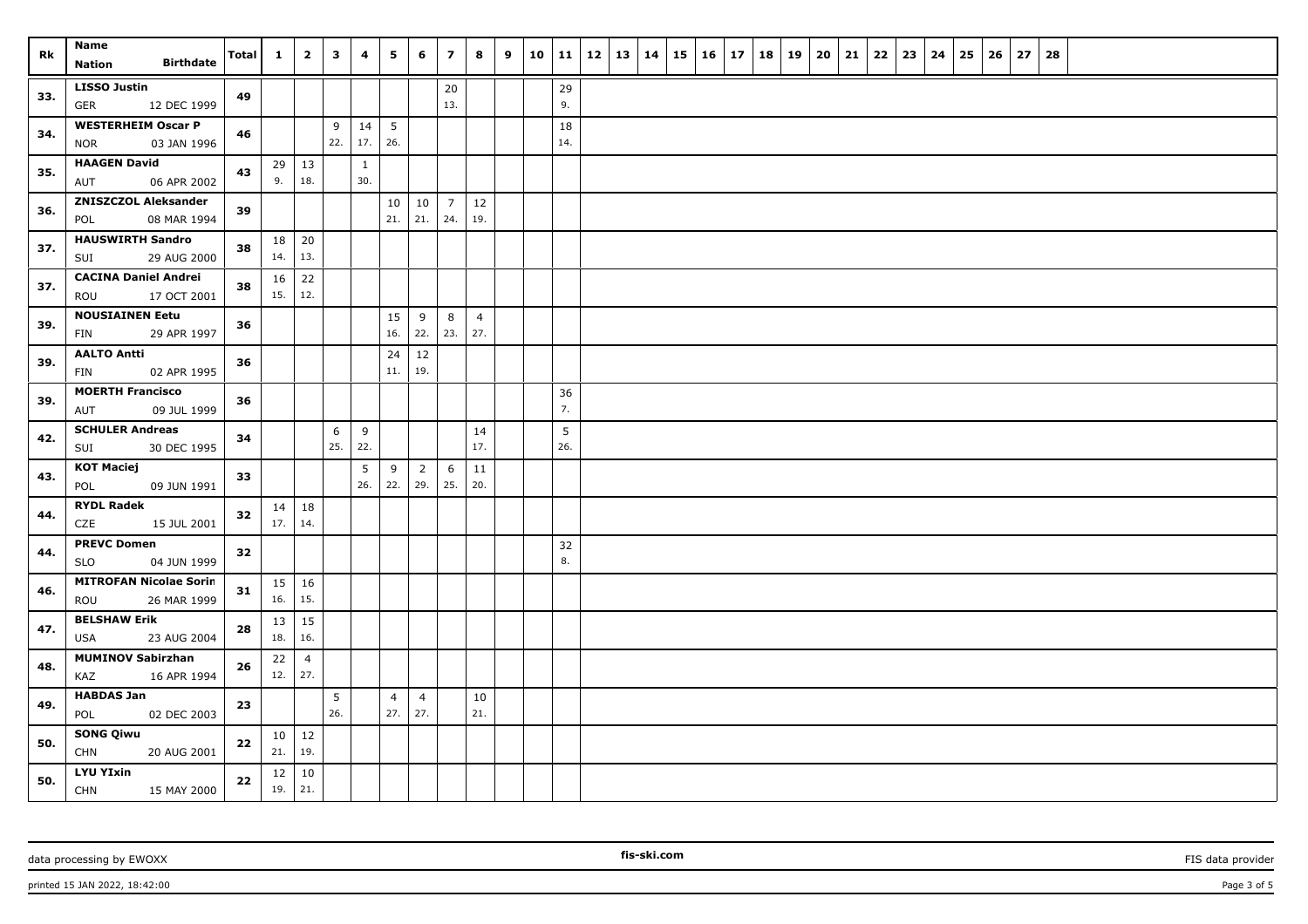| Rk  | Name                                             | <b>Total</b> | $\mathbf{1}$ | $\overline{2}$      | $\mathbf{3}$           | $\overline{\mathbf{4}}$ | 5                     | 6                     | $\overline{z}$ | 8              | 9 | 10 11     | $12 \mid 13 \mid 14$ |  | $15 \mid 16$ |  | $17 \mid 18 \mid 19$ | 20 | 21 | 22 | 23 | 24 | 25 | 26 | 27 | 28 |  |  |
|-----|--------------------------------------------------|--------------|--------------|---------------------|------------------------|-------------------------|-----------------------|-----------------------|----------------|----------------|---|-----------|----------------------|--|--------------|--|----------------------|----|----|----|----|----|----|----|----|----|--|--|
|     | <b>Birthdate</b><br><b>Nation</b>                |              |              |                     |                        |                         |                       |                       |                |                |   |           |                      |  |              |  |                      |    |    |    |    |    |    |    |    |    |  |  |
| 33. | <b>LISSO Justin</b>                              | 49           |              |                     |                        |                         |                       |                       | 20             |                |   | 29        |                      |  |              |  |                      |    |    |    |    |    |    |    |    |    |  |  |
|     | 12 DEC 1999<br><b>GER</b>                        |              |              |                     |                        |                         |                       |                       | 13.            |                |   | 9.        |                      |  |              |  |                      |    |    |    |    |    |    |    |    |    |  |  |
| 34. | <b>WESTERHEIM Oscar P</b>                        | 46           |              |                     | 9<br>22.               | 14<br>17.               | 5<br>26.              |                       |                |                |   | 18<br>14. |                      |  |              |  |                      |    |    |    |    |    |    |    |    |    |  |  |
|     | 03 JAN 1996<br><b>NOR</b><br><b>HAAGEN David</b> |              |              |                     |                        |                         |                       |                       |                |                |   |           |                      |  |              |  |                      |    |    |    |    |    |    |    |    |    |  |  |
| 35. | 06 APR 2002<br>AUT                               | 43           | 29<br>9.     | 13<br>18.           |                        | $\mathbf{1}$<br>30.     |                       |                       |                |                |   |           |                      |  |              |  |                      |    |    |    |    |    |    |    |    |    |  |  |
|     | <b>ZNISZCZOL Aleksander</b>                      |              |              |                     |                        |                         | 10                    | 10                    | $\overline{7}$ | 12             |   |           |                      |  |              |  |                      |    |    |    |    |    |    |    |    |    |  |  |
| 36. | 08 MAR 1994<br>POL                               | 39           |              |                     |                        |                         | 21.                   | 21.                   | 24.            | 19.            |   |           |                      |  |              |  |                      |    |    |    |    |    |    |    |    |    |  |  |
|     | <b>HAUSWIRTH Sandro</b>                          |              | 18           | 20                  |                        |                         |                       |                       |                |                |   |           |                      |  |              |  |                      |    |    |    |    |    |    |    |    |    |  |  |
| 37. | SUI<br>29 AUG 2000                               | 38           | 14.          | 13.                 |                        |                         |                       |                       |                |                |   |           |                      |  |              |  |                      |    |    |    |    |    |    |    |    |    |  |  |
| 37. | <b>CACINA Daniel Andrei</b>                      | 38           | 16           | 22                  |                        |                         |                       |                       |                |                |   |           |                      |  |              |  |                      |    |    |    |    |    |    |    |    |    |  |  |
|     | 17 OCT 2001<br>ROU                               |              | 15.          | 12.                 |                        |                         |                       |                       |                |                |   |           |                      |  |              |  |                      |    |    |    |    |    |    |    |    |    |  |  |
| 39. | <b>NOUSIAINEN Eetu</b>                           | 36           |              |                     |                        |                         | 15                    | 9                     | 8              | $\overline{4}$ |   |           |                      |  |              |  |                      |    |    |    |    |    |    |    |    |    |  |  |
|     | 29 APR 1997<br>FIN                               |              |              |                     |                        |                         | 16.                   | 22.                   | 23.            | 27.            |   |           |                      |  |              |  |                      |    |    |    |    |    |    |    |    |    |  |  |
| 39. | <b>AALTO Antti</b>                               | 36           |              |                     |                        |                         | 24                    | $12\,$                |                |                |   |           |                      |  |              |  |                      |    |    |    |    |    |    |    |    |    |  |  |
|     | 02 APR 1995<br>FIN                               |              |              |                     |                        |                         | 11.                   | 19.                   |                |                |   |           |                      |  |              |  |                      |    |    |    |    |    |    |    |    |    |  |  |
| 39. | <b>MOERTH Francisco</b><br>09 JUL 1999           | 36           |              |                     |                        |                         |                       |                       |                |                |   | 36<br>7.  |                      |  |              |  |                      |    |    |    |    |    |    |    |    |    |  |  |
|     | AUT                                              |              |              |                     |                        |                         |                       |                       |                |                |   |           |                      |  |              |  |                      |    |    |    |    |    |    |    |    |    |  |  |
| 42. | <b>SCHULER Andreas</b><br>SUI<br>30 DEC 1995     | 34           |              |                     | 6<br>25.               | 9<br>22.                |                       |                       |                | 14<br>17.      |   | 5<br>26.  |                      |  |              |  |                      |    |    |    |    |    |    |    |    |    |  |  |
|     | <b>KOT Maciej</b>                                |              |              |                     |                        | 5                       | 9                     | $\overline{2}$        | 6              | 11             |   |           |                      |  |              |  |                      |    |    |    |    |    |    |    |    |    |  |  |
| 43. | POL<br>09 JUN 1991                               | 33           |              |                     |                        | 26.                     | 22.                   | 29.                   | 25.            | 20.            |   |           |                      |  |              |  |                      |    |    |    |    |    |    |    |    |    |  |  |
|     | <b>RYDL Radek</b>                                |              | 14           | 18                  |                        |                         |                       |                       |                |                |   |           |                      |  |              |  |                      |    |    |    |    |    |    |    |    |    |  |  |
| 44. | CZE<br>15 JUL 2001                               | 32           | 17.          | 14.                 |                        |                         |                       |                       |                |                |   |           |                      |  |              |  |                      |    |    |    |    |    |    |    |    |    |  |  |
|     | <b>PREVC Domen</b>                               |              |              |                     |                        |                         |                       |                       |                |                |   | 32        |                      |  |              |  |                      |    |    |    |    |    |    |    |    |    |  |  |
| 44. | <b>SLO</b><br>04 JUN 1999                        | 32           |              |                     |                        |                         |                       |                       |                |                |   | 8.        |                      |  |              |  |                      |    |    |    |    |    |    |    |    |    |  |  |
| 46. | <b>MITROFAN Nicolae Sorin</b>                    | 31           | 15           | 16                  |                        |                         |                       |                       |                |                |   |           |                      |  |              |  |                      |    |    |    |    |    |    |    |    |    |  |  |
|     | 26 MAR 1999<br>ROU                               |              | 16.          | 15.                 |                        |                         |                       |                       |                |                |   |           |                      |  |              |  |                      |    |    |    |    |    |    |    |    |    |  |  |
| 47. | <b>BELSHAW Erik</b>                              | 28           | 13           | 15                  |                        |                         |                       |                       |                |                |   |           |                      |  |              |  |                      |    |    |    |    |    |    |    |    |    |  |  |
|     | <b>USA</b><br>23 AUG 2004                        |              | 18.          | 16.                 |                        |                         |                       |                       |                |                |   |           |                      |  |              |  |                      |    |    |    |    |    |    |    |    |    |  |  |
| 48. | <b>MUMINOV Sabirzhan</b>                         | 26           | 22           | $\overline{4}$      |                        |                         |                       |                       |                |                |   |           |                      |  |              |  |                      |    |    |    |    |    |    |    |    |    |  |  |
|     | 16 APR 1994<br>KAZ                               |              |              | $12.$ 27.           |                        |                         |                       |                       |                |                |   |           |                      |  |              |  |                      |    |    |    |    |    |    |    |    |    |  |  |
| 49. | <b>HABDAS Jan</b><br>POL<br>02 DEC 2003          | 23           |              |                     | $5\phantom{.0}$<br>26. |                         | $\overline{4}$<br>27. | $\overline{4}$<br>27. |                | 10<br>21.      |   |           |                      |  |              |  |                      |    |    |    |    |    |    |    |    |    |  |  |
|     | <b>SONG Qiwu</b>                                 |              |              |                     |                        |                         |                       |                       |                |                |   |           |                      |  |              |  |                      |    |    |    |    |    |    |    |    |    |  |  |
| 50. | <b>CHN</b><br>20 AUG 2001                        | 22           | 21.          | $10 \mid 12$<br>19. |                        |                         |                       |                       |                |                |   |           |                      |  |              |  |                      |    |    |    |    |    |    |    |    |    |  |  |
|     | <b>LYU YIxin</b>                                 |              | 12           | 10                  |                        |                         |                       |                       |                |                |   |           |                      |  |              |  |                      |    |    |    |    |    |    |    |    |    |  |  |
| 50. | <b>CHN</b><br>15 MAY 2000                        | 22           | 19.          | 21.                 |                        |                         |                       |                       |                |                |   |           |                      |  |              |  |                      |    |    |    |    |    |    |    |    |    |  |  |

data processing by EWOXX **Fission FIS data provider FIS data provider FIS data provider FIS data provider** 

**fis-ski.com**

printed 15 JAN 2022, 18:42:00 Page 3 of 5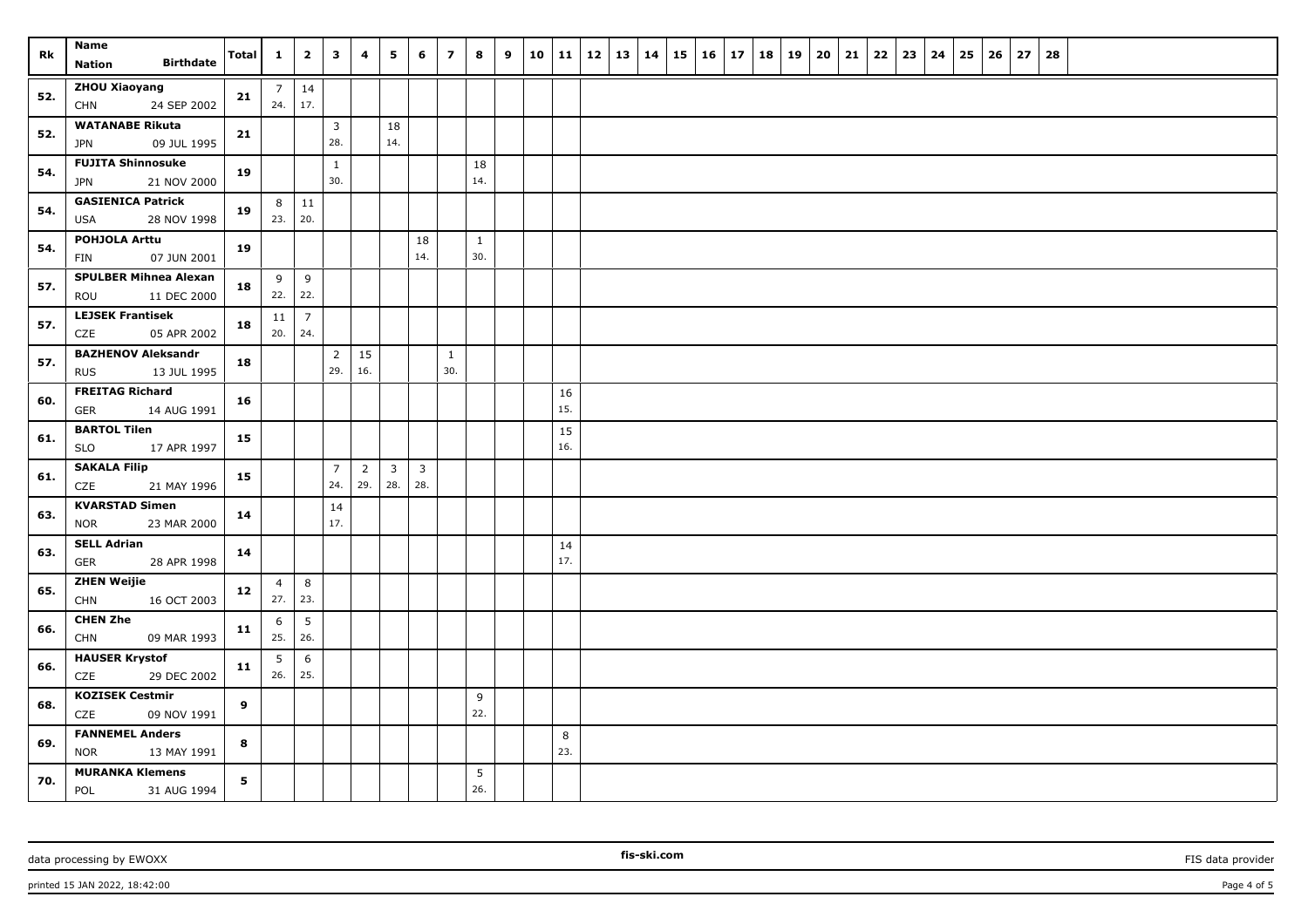| Rk  | <b>Name</b><br><b>Birthdate</b><br>Nation              | Total          | $\mathbf{1}$          | $\overline{2}$         | $\overline{\mathbf{3}}$ | 4                     | 5                     | 6                     | $\overline{z}$      | 8                   | 9 |           | 10   11   12   13   14 |  | 15 |  | $16$   17   18 | 19 | $20 \mid 21$ | 22 |  | $23 \mid 24 \mid 25$ | 26 | 27 | 28 |  |  |  |
|-----|--------------------------------------------------------|----------------|-----------------------|------------------------|-------------------------|-----------------------|-----------------------|-----------------------|---------------------|---------------------|---|-----------|------------------------|--|----|--|----------------|----|--------------|----|--|----------------------|----|----|----|--|--|--|
| 52. | <b>ZHOU Xiaoyang</b><br>24 SEP 2002<br><b>CHN</b>      | 21             | 7 <sup>1</sup><br>24. | 14<br>17.              |                         |                       |                       |                       |                     |                     |   |           |                        |  |    |  |                |    |              |    |  |                      |    |    |    |  |  |  |
| 52. | <b>WATANABE Rikuta</b><br>09 JUL 1995<br><b>JPN</b>    | 21             |                       |                        | $\overline{3}$<br>28.   |                       | 18<br>14.             |                       |                     |                     |   |           |                        |  |    |  |                |    |              |    |  |                      |    |    |    |  |  |  |
| 54. | <b>FUJITA Shinnosuke</b><br>21 NOV 2000<br>JPN         | 19             |                       |                        | $\mathbf{1}$<br>30.     |                       |                       |                       |                     | 18<br>14.           |   |           |                        |  |    |  |                |    |              |    |  |                      |    |    |    |  |  |  |
| 54. | <b>GASIENICA Patrick</b><br>USA<br>28 NOV 1998         | 19             | 8 <sup>1</sup><br>23. | $\vert$ 11<br>20.      |                         |                       |                       |                       |                     |                     |   |           |                        |  |    |  |                |    |              |    |  |                      |    |    |    |  |  |  |
| 54. | <b>POHJOLA Arttu</b><br>07 JUN 2001<br>FIN             | 19             |                       |                        |                         |                       |                       | 18<br>14.             |                     | $\mathbf{1}$<br>30. |   |           |                        |  |    |  |                |    |              |    |  |                      |    |    |    |  |  |  |
| 57. | <b>SPULBER Mihnea Alexan</b><br>ROU<br>11 DEC 2000     | 18             | 9<br>22.              | 9<br>22.               |                         |                       |                       |                       |                     |                     |   |           |                        |  |    |  |                |    |              |    |  |                      |    |    |    |  |  |  |
| 57. | <b>LEJSEK Frantisek</b><br>CZE<br>05 APR 2002          | 18             | 11<br>20.             | $\overline{7}$<br>24.  |                         |                       |                       |                       |                     |                     |   |           |                        |  |    |  |                |    |              |    |  |                      |    |    |    |  |  |  |
| 57. | <b>BAZHENOV Aleksandr</b><br><b>RUS</b><br>13 JUL 1995 | 18             |                       |                        | $\overline{2}$<br>29.   | 15<br>16.             |                       |                       | $\mathbf{1}$<br>30. |                     |   |           |                        |  |    |  |                |    |              |    |  |                      |    |    |    |  |  |  |
| 60. | <b>FREITAG Richard</b><br>14 AUG 1991<br>GER           | 16             |                       |                        |                         |                       |                       |                       |                     |                     |   | 16<br>15. |                        |  |    |  |                |    |              |    |  |                      |    |    |    |  |  |  |
| 61. | <b>BARTOL Tilen</b><br>SLO<br>17 APR 1997              | 15             |                       |                        |                         |                       |                       |                       |                     |                     |   | 15<br>16. |                        |  |    |  |                |    |              |    |  |                      |    |    |    |  |  |  |
| 61. | <b>SAKALA Filip</b><br>CZE<br>21 MAY 1996              | 15             |                       |                        | $\overline{7}$<br>24.   | $\overline{2}$<br>29. | $\overline{3}$<br>28. | $\overline{3}$<br>28. |                     |                     |   |           |                        |  |    |  |                |    |              |    |  |                      |    |    |    |  |  |  |
| 63. | <b>KVARSTAD Simen</b><br>23 MAR 2000<br><b>NOR</b>     | 14             |                       |                        | 14<br>17.               |                       |                       |                       |                     |                     |   |           |                        |  |    |  |                |    |              |    |  |                      |    |    |    |  |  |  |
| 63. | <b>SELL Adrian</b><br>28 APR 1998<br>GER               | 14             |                       |                        |                         |                       |                       |                       |                     |                     |   | 14<br>17. |                        |  |    |  |                |    |              |    |  |                      |    |    |    |  |  |  |
| 65. | <b>ZHEN Weijie</b><br>16 OCT 2003<br><b>CHN</b>        | 12             | $\overline{4}$<br>27. | 8<br>23.               |                         |                       |                       |                       |                     |                     |   |           |                        |  |    |  |                |    |              |    |  |                      |    |    |    |  |  |  |
| 66. | <b>CHEN Zhe</b><br><b>CHN</b><br>09 MAR 1993           | 11             | 6<br>25.              | $5\overline{)}$<br>26. |                         |                       |                       |                       |                     |                     |   |           |                        |  |    |  |                |    |              |    |  |                      |    |    |    |  |  |  |
| 66. | <b>HAUSER Krystof</b><br>CZE<br>29 DEC 2002            | 11             | 5<br>26.              | 6<br>25.               |                         |                       |                       |                       |                     |                     |   |           |                        |  |    |  |                |    |              |    |  |                      |    |    |    |  |  |  |
| 68. | <b>KOZISEK Cestmir</b><br>CZE<br>09 NOV 1991           | 9              |                       |                        |                         |                       |                       |                       |                     | 9<br>22.            |   |           |                        |  |    |  |                |    |              |    |  |                      |    |    |    |  |  |  |
| 69. | <b>FANNEMEL Anders</b><br><b>NOR</b><br>13 MAY 1991    | 8              |                       |                        |                         |                       |                       |                       |                     |                     |   | 8<br>23.  |                        |  |    |  |                |    |              |    |  |                      |    |    |    |  |  |  |
| 70. | <b>MURANKA Klemens</b><br>POL<br>31 AUG 1994           | 5 <sub>1</sub> |                       |                        |                         |                       |                       |                       |                     | 5<br>26.            |   |           |                        |  |    |  |                |    |              |    |  |                      |    |    |    |  |  |  |

data processing by EWOXX **Fission FIS data provider FIS data provider FIS data provider FIS data provider** 

printed 15 JAN 2022, 18:42:00 Page 4 of 5